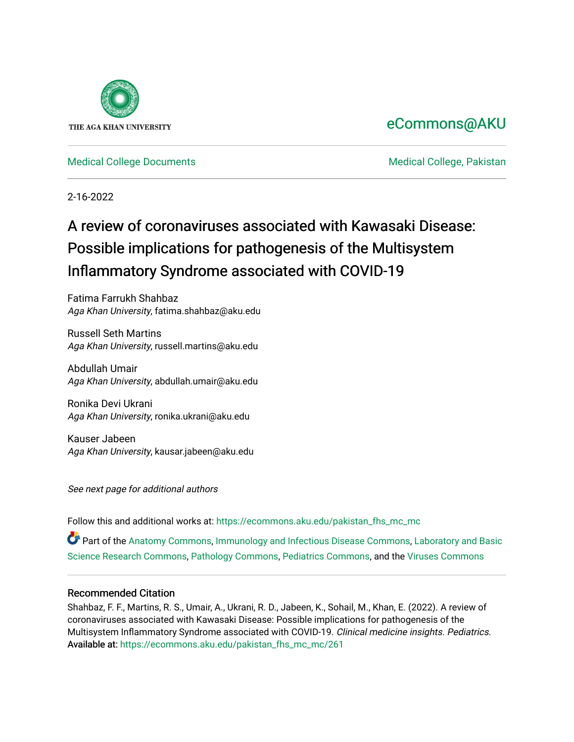

# [eCommons@AKU](https://ecommons.aku.edu/)

# [Medical College Documents](https://ecommons.aku.edu/pakistan_fhs_mc_mc) [Medical College, Pakistan](https://ecommons.aku.edu/pakistan_fhs_mc)

2-16-2022

# A review of coronaviruses associated with Kawasaki Disease: Possible implications for pathogenesis of the Multisystem Inflammatory Syndrome associated with COVID-19

Fatima Farrukh Shahbaz Aga Khan University, fatima.shahbaz@aku.edu

Russell Seth Martins Aga Khan University, russell.martins@aku.edu

Abdullah Umair Aga Khan University, abdullah.umair@aku.edu

Ronika Devi Ukrani Aga Khan University, ronika.ukrani@aku.edu

Kauser Jabeen Aga Khan University, kausar.jabeen@aku.edu

See next page for additional authors

Follow this and additional works at: [https://ecommons.aku.edu/pakistan\\_fhs\\_mc\\_mc](https://ecommons.aku.edu/pakistan_fhs_mc_mc?utm_source=ecommons.aku.edu%2Fpakistan_fhs_mc_mc%2F261&utm_medium=PDF&utm_campaign=PDFCoverPages) 

Part of the [Anatomy Commons,](http://network.bepress.com/hgg/discipline/903?utm_source=ecommons.aku.edu%2Fpakistan_fhs_mc_mc%2F261&utm_medium=PDF&utm_campaign=PDFCoverPages) [Immunology and Infectious Disease Commons,](http://network.bepress.com/hgg/discipline/33?utm_source=ecommons.aku.edu%2Fpakistan_fhs_mc_mc%2F261&utm_medium=PDF&utm_campaign=PDFCoverPages) [Laboratory and Basic](http://network.bepress.com/hgg/discipline/812?utm_source=ecommons.aku.edu%2Fpakistan_fhs_mc_mc%2F261&utm_medium=PDF&utm_campaign=PDFCoverPages)  [Science Research Commons](http://network.bepress.com/hgg/discipline/812?utm_source=ecommons.aku.edu%2Fpakistan_fhs_mc_mc%2F261&utm_medium=PDF&utm_campaign=PDFCoverPages), [Pathology Commons](http://network.bepress.com/hgg/discipline/699?utm_source=ecommons.aku.edu%2Fpakistan_fhs_mc_mc%2F261&utm_medium=PDF&utm_campaign=PDFCoverPages), [Pediatrics Commons,](http://network.bepress.com/hgg/discipline/700?utm_source=ecommons.aku.edu%2Fpakistan_fhs_mc_mc%2F261&utm_medium=PDF&utm_campaign=PDFCoverPages) and the [Viruses Commons](http://network.bepress.com/hgg/discipline/987?utm_source=ecommons.aku.edu%2Fpakistan_fhs_mc_mc%2F261&utm_medium=PDF&utm_campaign=PDFCoverPages) 

# Recommended Citation

Shahbaz, F. F., Martins, R. S., Umair, A., Ukrani, R. D., Jabeen, K., Sohail, M., Khan, E. (2022). A review of coronaviruses associated with Kawasaki Disease: Possible implications for pathogenesis of the Multisystem Inflammatory Syndrome associated with COVID-19. Clinical medicine insights. Pediatrics. Available at: [https://ecommons.aku.edu/pakistan\\_fhs\\_mc\\_mc/261](https://ecommons.aku.edu/pakistan_fhs_mc_mc/261)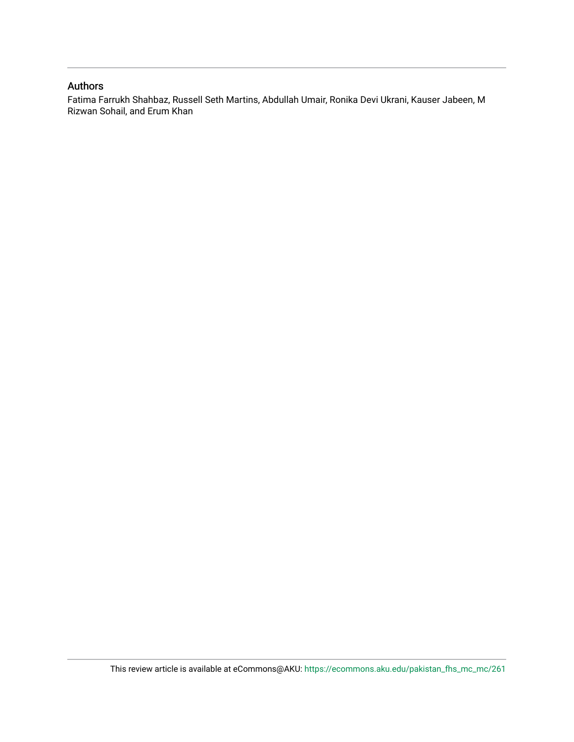# Authors

Fatima Farrukh Shahbaz, Russell Seth Martins, Abdullah Umair, Ronika Devi Ukrani, Kauser Jabeen, M Rizwan Sohail, and Erum Khan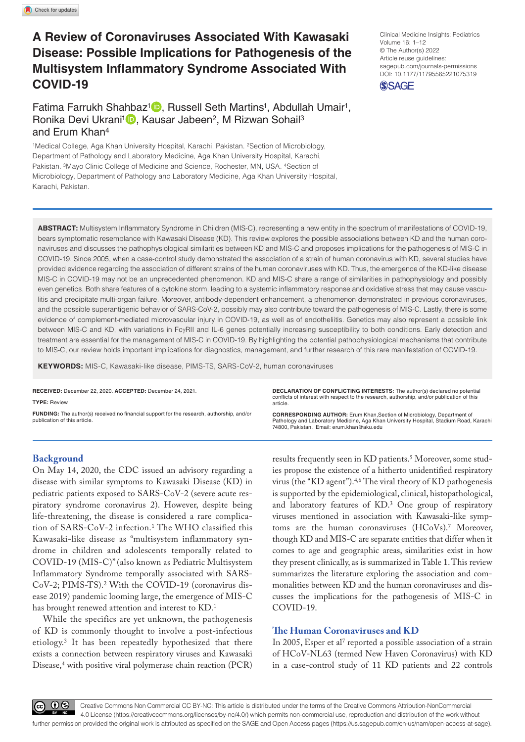# **A Review of Coronaviruses Associated With Kawasaki Disease: Possible Implications for Pathogenesis of the Multisystem Inflammatory Syndrome Associated With COVID-19**

Fatima Farrukh Shahbaz<sup>1</sup> , Russell Seth Martins<sup>1</sup>, Abdullah Umair<sup>1</sup>, Ronika Devi Ukrani<sup>1</sup> , Kausar Jabeen<sup>2</sup>, M Rizwan Sohail<sup>3</sup> and Erum Khan4

1Medical College, Aga Khan University Hospital, Karachi, Pakistan. 2Section of Microbiology, Department of Pathology and Laboratory Medicine, Aga Khan University Hospital, Karachi, Pakistan. 3Mayo Clinic College of Medicine and Science, Rochester, MN, USA. 4Section of Microbiology, Department of Pathology and Laboratory Medicine, Aga Khan University Hospital, Karachi, Pakistan.

Clinical Medicine Insights: Pediatrics Volume 16: 1–12 © The Author(s) 2022 Article reuse guidelines: [sagepub.com/journals-permissions](https://uk.sagepub.com/en-gb/journals-permissions) DOI: 10.1177/11795565221075319 **SSAGE** 

**ABSTRACT:** Multisystem Inflammatory Syndrome in Children (MIS-C), representing a new entity in the spectrum of manifestations of COVID-19, bears symptomatic resemblance with Kawasaki Disease (KD). This review explores the possible associations between KD and the human coronaviruses and discusses the pathophysiological similarities between KD and MIS-C and proposes implications for the pathogenesis of MIS-C in COVID-19. Since 2005, when a case-control study demonstrated the association of a strain of human coronavirus with KD, several studies have provided evidence regarding the association of different strains of the human coronaviruses with KD. Thus, the emergence of the KD-like disease MIS-C in COVID-19 may not be an unprecedented phenomenon. KD and MIS-C share a range of similarities in pathophysiology and possibly even genetics. Both share features of a cytokine storm, leading to a systemic inflammatory response and oxidative stress that may cause vasculitis and precipitate multi-organ failure. Moreover, antibody-dependent enhancement, a phenomenon demonstrated in previous coronaviruses, and the possible superantigenic behavior of SARS-CoV-2, possibly may also contribute toward the pathogenesis of MIS-C. Lastly, there is some evidence of complement-mediated microvascular injury in COVID-19, as well as of endotheliitis. Genetics may also represent a possible link between MIS-C and KD, with variations in FcγRII and IL-6 genes potentially increasing susceptibility to both conditions. Early detection and treatment are essential for the management of MIS-C in COVID-19. By highlighting the potential pathophysiological mechanisms that contribute to MIS-C, our review holds important implications for diagnostics, management, and further research of this rare manifestation of COVID-19.

**Keywords:** MIS-C, Kawasaki-like disease, PIMS-TS, SARS-CoV-2, human coronaviruses

**RECEIVED:** December 22, 2020. **ACCEPTED:** December 24, 2021.

**Type:** Review

**FUNDING:** The author(s) received no financial support for the research, authorship, and/or publication of this article.

**Declaration of Conflicting Interests:** The author(s) declared no potential conflicts of interest with respect to the research, authorship, and/or publication of this article.

**CORRESPONDING AUTHOR:** Erum Khan,Section of Microbiology, Department of<br>Pathology and Laboratory Medicine, Aga Khan University Hospital, Stadium Road, Karachi<br>74800, Pakistan. Email: [erum.khan@aku.edu](mailto:erum.khan@aku.edu)

# **Background**

On May 14, 2020, the CDC issued an advisory regarding a disease with similar symptoms to Kawasaki Disease (KD) in pediatric patients exposed to SARS-CoV-2 (severe acute respiratory syndrome coronavirus 2). However, despite being life-threatening, the disease is considered a rare complication of SARS-CoV-2 infection.1 The WHO classified this Kawasaki-like disease as "multisystem inflammatory syndrome in children and adolescents temporally related to COVID-19 (MIS-C)" (also known as Pediatric Multisystem Inflammatory Syndrome temporally associated with SARS-CoV-2; PIMS-TS).2 With the COVID-19 (coronavirus disease 2019) pandemic looming large, the emergence of MIS-C has brought renewed attention and interest to KD.<sup>1</sup>

While the specifics are yet unknown, the pathogenesis of KD is commonly thought to involve a post-infectious etiology.3 It has been repeatedly hypothesized that there exists a connection between respiratory viruses and Kawasaki Disease,4 with positive viral polymerase chain reaction (PCR)

results frequently seen in KD patients.<sup>5</sup> Moreover, some studies propose the existence of a hitherto unidentified respiratory virus (the "KD agent").4,6 The viral theory of KD pathogenesis is supported by the epidemiological, clinical, histopathological, and laboratory features of KD.<sup>3</sup> One group of respiratory viruses mentioned in association with Kawasaki-like symptoms are the human coronaviruses (HCoVs).7 Moreover, though KD and MIS-C are separate entities that differ when it comes to age and geographic areas, similarities exist in how they present clinically, as is summarized in Table 1. This review summarizes the literature exploring the association and commonalities between KD and the human coronaviruses and discusses the implications for the pathogenesis of MIS-C in COVID-19.

# **The Human Coronaviruses and KD**

In 2005, Esper et al<sup>7</sup> reported a possible association of a strain of HCoV-NL63 (termed New Haven Coronavirus) with KD in a case-control study of 11 KD patients and 22 controls

60 G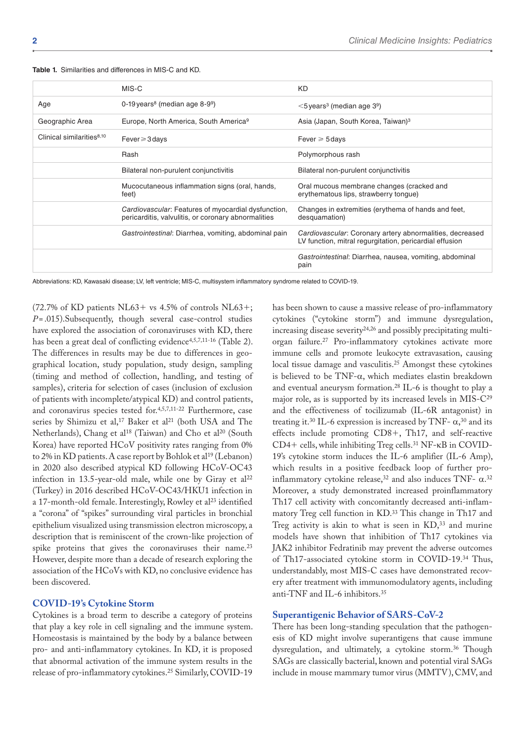|                                       | MIS-C                                                                                                      | <b>KD</b>                                                                                                           |
|---------------------------------------|------------------------------------------------------------------------------------------------------------|---------------------------------------------------------------------------------------------------------------------|
| Age                                   | 0-19 years <sup>8</sup> (median age $8-9^9$ )                                                              | $<$ 5 years <sup>3</sup> (median age 3 <sup>9</sup> )                                                               |
| Geographic Area                       | Europe, North America, South America <sup>9</sup>                                                          | Asia (Japan, South Korea, Taiwan) <sup>3</sup>                                                                      |
| Clinical similarities <sup>8,10</sup> | Fever $\geqslant$ 3 days                                                                                   | Fever $\geqslant$ 5 days                                                                                            |
|                                       | Rash                                                                                                       | Polymorphous rash                                                                                                   |
|                                       | Bilateral non-purulent conjunctivitis                                                                      | Bilateral non-purulent conjunctivitis                                                                               |
|                                       | Mucocutaneous inflammation signs (oral, hands,<br>feet)                                                    | Oral mucous membrane changes (cracked and<br>erythematous lips, strawberry tongue)                                  |
|                                       | Cardiovascular: Features of myocardial dysfunction,<br>pericarditis, valvulitis, or coronary abnormalities | Changes in extremities (erythema of hands and feet,<br>desquamation)                                                |
|                                       | Gastrointestinal: Diarrhea, vomiting, abdominal pain                                                       | Cardiovascular: Coronary artery abnormalities, decreased<br>LV function, mitral regurgitation, pericardial effusion |
|                                       |                                                                                                            | Gastrointestinal: Diarrhea, nausea, vomiting, abdominal<br>pain                                                     |

**Table 1.** Similarities and differences in MIS-C and KD.

Abbreviations: KD, Kawasaki disease; LV, left ventricle; MIS-C, multisystem inflammatory syndrome related to COVID-19.

(72.7% of KD patients NL63+ vs 4.5% of controls NL63+; *P*=.015).Subsequently, though several case-control studies have explored the association of coronaviruses with KD, there has been a great deal of conflicting evidence<sup>4,5,7,11-16</sup> (Table 2). The differences in results may be due to differences in geographical location, study population, study design, sampling (timing and method of collection, handling, and testing of samples), criteria for selection of cases (inclusion of exclusion of patients with incomplete/atypical KD) and control patients, and coronavirus species tested for.4,5,7,11-22 Furthermore, case series by Shimizu et al,<sup>17</sup> Baker et al<sup>21</sup> (both USA and The Netherlands), Chang et al<sup>18</sup> (Taiwan) and Cho et al<sup>20</sup> (South Korea) have reported HCoV positivity rates ranging from 0% to 2% in KD patients. A case report by Bohlok et al<sup>19</sup> (Lebanon) in 2020 also described atypical KD following HCoV-OC43 infection in 13.5-year-old male, while one by Giray et  $al^{22}$ (Turkey) in 2016 described HCoV-OC43/HKU1 infection in a 17-month-old female. Interestingly, Rowley et al<sup>23</sup> identified a "corona" of "spikes" surrounding viral particles in bronchial epithelium visualized using transmission electron microscopy, a description that is reminiscent of the crown-like projection of spike proteins that gives the coronaviruses their name.<sup>23</sup> However, despite more than a decade of research exploring the association of the HCoVs with KD, no conclusive evidence has been discovered.

## **COVID-19's Cytokine Storm**

Cytokines is a broad term to describe a category of proteins that play a key role in cell signaling and the immune system. Homeostasis is maintained by the body by a balance between pro- and anti-inflammatory cytokines. In KD, it is proposed that abnormal activation of the immune system results in the release of pro-inflammatory cytokines.25 Similarly, COVID-19

has been shown to cause a massive release of pro-inflammatory cytokines ("cytokine storm") and immune dysregulation, increasing disease severity24,26 and possibly precipitating multiorgan failure.27 Pro-inflammatory cytokines activate more immune cells and promote leukocyte extravasation, causing local tissue damage and vasculitis.25 Amongst these cytokines is believed to be TNF-α, which mediates elastin breakdown and eventual aneurysm formation.28 IL-6 is thought to play a major role, as is supported by its increased levels in MIS-C29 and the effectiveness of tocilizumab (IL-6R antagonist) in treating it.<sup>30</sup> IL-6 expression is increased by TNF- $\alpha$ ,<sup>30</sup> and its effects include promoting CD8+, Th17, and self-reactive CD4+ cells, while inhibiting Treg cells.31 NF-κB in COVID-19's cytokine storm induces the IL-6 amplifier (IL-6 Amp), which results in a positive feedback loop of further proinflammatory cytokine release,<sup>32</sup> and also induces TNF-  $\alpha$ .<sup>32</sup> Moreover, a study demonstrated increased proinflammatory Th17 cell activity with concomitantly decreased anti-inflammatory Treg cell function in KD.33 This change in Th17 and Treg activity is akin to what is seen in  $KD$ ,  $33$  and murine models have shown that inhibition of Th17 cytokines via JAK2 inhibitor Fedratinib may prevent the adverse outcomes of Th17-associated cytokine storm in COVID-19.34 Thus, understandably, most MIS-C cases have demonstrated recovery after treatment with immunomodulatory agents, including anti-TNF and IL-6 inhibitors.35

#### **Superantigenic Behavior of SARS-CoV-2**

There has been long-standing speculation that the pathogenesis of KD might involve superantigens that cause immune dysregulation, and ultimately, a cytokine storm.<sup>36</sup> Though SAGs are classically bacterial, known and potential viral SAGs include in mouse mammary tumor virus (MMTV), CMV, and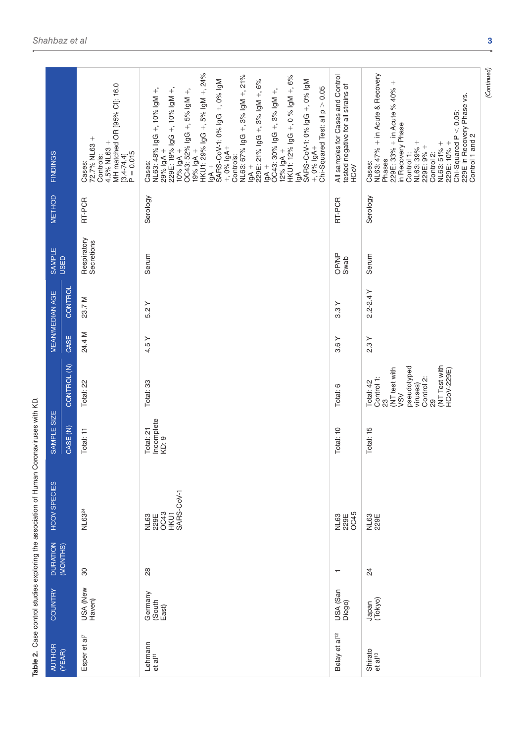|                        |             |                                                                                                                   |                                                                                                                                                                                                                                                                                                                                                                                                                                                                                                                                                            |                                                                                        | (Continued)                                                                                                                                                                                                                                                                  |
|------------------------|-------------|-------------------------------------------------------------------------------------------------------------------|------------------------------------------------------------------------------------------------------------------------------------------------------------------------------------------------------------------------------------------------------------------------------------------------------------------------------------------------------------------------------------------------------------------------------------------------------------------------------------------------------------------------------------------------------------|----------------------------------------------------------------------------------------|------------------------------------------------------------------------------------------------------------------------------------------------------------------------------------------------------------------------------------------------------------------------------|
| <b>FINDINGS</b>        |             | MH matched OR [95% CI]: 16.0<br>72.7% NL63 +<br>4.5% NL63 +<br>$[3.4 - 74.4]$<br>P = 0.015<br>Controls:<br>Cases: | HKU1: 29% IgG +, 5% IgM +, 24%<br>NL63: 67% IgG +, 3% IgM +, 21%<br>HKU1: 12% IgG +, 0 % IgM +, 6%<br>229E: 21% IgG +, 3% IgM +, 6%<br>SARS-CoV-1: 0% IgG +, 0% IgM<br>SARS-CoV-1: 0% IgG +, 0% IgM<br>Chi-Squared Test: all $p > 0.05$<br>NL63: 48% IgG +, 10% IgM +,<br>229E: 19% IgG +, 10% IgM +,<br>10% IgA +<br>OC43: 52% IgG +, 5% IgM +,<br>OC43: 30% IgG +, 3% IgM +,<br>$+$ , 0% lgA+<br>$+$ , 0% lgA+<br>$29%$ lgA +<br>$+$ Appl $\frac{996}{96}$<br>$12%$ lgA +<br>Controls:<br>Cases:<br>$\frac{1}{9}$<br>$\frac{1}{9}$<br>$\frac{1}{9}$<br>§ | All samples for Cases and Control<br>tested negative for all strains of<br><b>NOOH</b> | NL63: 47% + in Acute & Recovery<br>229E: 33% + in Acute % 40% +<br>229E in Recovery Phase vs.<br>$Chi-Squared P < 0.05$ :<br>in Recovery Phase<br>Control 1 and 2<br>NL63: 39% +<br>229E: 9% +<br>NL63: 51% +<br>229E: 10% +<br>Control 1:<br>Control 2:<br>Phases<br>Cases: |
| <b>METHOD</b>          |             | RT-PCR                                                                                                            | Serology                                                                                                                                                                                                                                                                                                                                                                                                                                                                                                                                                   | RT-PCR                                                                                 | Serology                                                                                                                                                                                                                                                                     |
| <b>SAMPLE</b>          | <b>USED</b> | Respiratory<br>Secretions                                                                                         | Serum                                                                                                                                                                                                                                                                                                                                                                                                                                                                                                                                                      | <b>OP/NP</b><br>Swab                                                                   | Serum                                                                                                                                                                                                                                                                        |
| <b>MEAN/MEDIAN AGE</b> | CONTROL     | 23.7 M                                                                                                            | 5.2Y                                                                                                                                                                                                                                                                                                                                                                                                                                                                                                                                                       | 3.3Y                                                                                   | $2.2 - 2.4$ Y                                                                                                                                                                                                                                                                |
|                        | CASE        | 24.4 M                                                                                                            | 4.5Y                                                                                                                                                                                                                                                                                                                                                                                                                                                                                                                                                       | 3.6Y                                                                                   | 2.3Y                                                                                                                                                                                                                                                                         |
|                        | CONTROL (N) | Total: 22                                                                                                         | Total: 33                                                                                                                                                                                                                                                                                                                                                                                                                                                                                                                                                  | Total: 6                                                                               | (NT Test with<br>pseudotyped<br>(NT test with<br><b>HCoV-229E)</b><br>Control 1:<br>Control 2:<br>Total: 42<br>viruses)<br>VSV<br>29<br>ಔ                                                                                                                                    |
| SAMPLE SIZE            | CASE (N)    | Total: 11                                                                                                         | Incomplete<br>Total: 21<br>KD: 9                                                                                                                                                                                                                                                                                                                                                                                                                                                                                                                           | Total: 10                                                                              | Total: 15                                                                                                                                                                                                                                                                    |
| <b>HCOV SPECIES</b>    |             | NL63 <sup>24</sup>                                                                                                | HKU1<br>SARS-CoV-1<br>OC43<br>NL63<br>229E                                                                                                                                                                                                                                                                                                                                                                                                                                                                                                                 | NL63<br>229E<br>OC45                                                                   | NL63<br>229E                                                                                                                                                                                                                                                                 |
| <b>DURATION</b>        | (MONTHS)    | $\overline{30}$                                                                                                   | $_{\rm 28}$                                                                                                                                                                                                                                                                                                                                                                                                                                                                                                                                                |                                                                                        | $\overline{2}$                                                                                                                                                                                                                                                               |
| COUNTRY                |             | USA (New<br>Haven)                                                                                                | Germany<br>(South East)                                                                                                                                                                                                                                                                                                                                                                                                                                                                                                                                    | USA (San<br>Diego)                                                                     | Japan<br>(Tokyo)                                                                                                                                                                                                                                                             |
| <b>AUTHOR</b>          | (YEAR)      | Esper et al <sup>7</sup>                                                                                          | Lehmann<br>et al <sup>11</sup>                                                                                                                                                                                                                                                                                                                                                                                                                                                                                                                             | Belay et al <sup>12</sup>                                                              | Shirato<br>et al <sup>13</sup>                                                                                                                                                                                                                                               |

**Table 2.** Case control studies exploring the association of Human Coronaviruses with KD.

Table 2. Case control studies exploring the association of Human Coronaviruses with KD.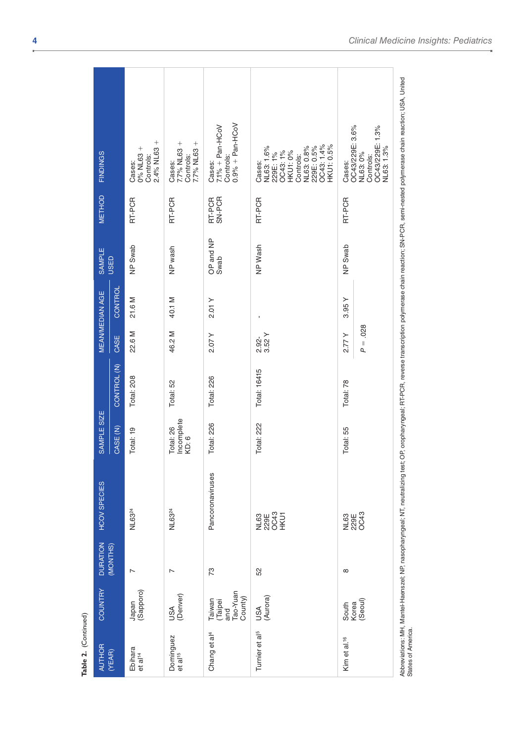| Table 2. (Continued)             |                                                 |                 |                               |                                 |              |                     |                        |                   |                  |                                                                                                                                                                                                                     |
|----------------------------------|-------------------------------------------------|-----------------|-------------------------------|---------------------------------|--------------|---------------------|------------------------|-------------------|------------------|---------------------------------------------------------------------------------------------------------------------------------------------------------------------------------------------------------------------|
| <b>AUTHOR</b>                    | COUNTRY                                         | <b>DURATION</b> | <b>HCOV SPECIES</b>           | SAMPLE SIZE                     |              |                     | <b>MEAN/MEDIAN AGE</b> | SAMPLE            | METHOD           | <b>FINDINGS</b>                                                                                                                                                                                                     |
| (YEAR)                           |                                                 | (MONTHS)        |                               | CASE <sub>(N)</sub>             | CONTROL (N)  | CASE                | CONTROL                | <b>USED</b>       |                  |                                                                                                                                                                                                                     |
| Ebihara<br>et al <sup>14</sup>   | Japan<br>(Sapporo)                              | $\overline{ }$  | NL6324                        | Total: 19                       | Total: 208   | 22.6 M              | 21.6 M                 | NP Swab           | RT-PCR           | $2.4%$ NL63 +<br>0% NL63+<br>Controls:<br>Cases:                                                                                                                                                                    |
| Dominguez<br>et al <sup>15</sup> | USA<br>(Denver)                                 | $\overline{ }$  | NL6324                        | Incomplete<br>Total: 26<br>KD:6 | Total: 52    | 46.2 M              | 40.1 M                 | NP wash           | RT-PCR           | 7.7% NL63 +<br>7.7% NL63 +<br>Controls:<br>Cases:                                                                                                                                                                   |
| Chang et al <sup>4</sup>         | Tao-Yuan<br>County)<br>Taiwan<br>(Taipei<br>and | 73              | Pancoronaviruses              | Total: 226                      | Total: 226   | 2.07Y               | 2.01 Y                 | OP and NP<br>Swab | SN-PCR<br>RT-PCR | $0.9% + Pan-HCoV$<br>$7.1\% + Pan-HCoV$<br>Controls:<br>Cases:                                                                                                                                                      |
| Turnier et al <sup>5</sup>       | USA<br>(Aurora)                                 | 52              | NL63<br>229E<br>20C43<br>HKU1 | Total: 222                      | Total: 16415 | 3.52Y<br>2.92-      |                        | NP Wash           | RT-PCR           | OC43: 1.4%<br><b>KU1:0.5%</b><br>NL63: 0.8%<br>229E: 0.5%<br>NL63: 1.6%<br><b>HKU1: 0%</b><br>OC43: 1%<br>229E: 1%<br>Controls:<br>Cases:                                                                           |
| Kim et al. <sup>16</sup>         | (Seoul)<br>South<br>Korea                       | ${}^{\circ}$    | NL63<br>229E<br>OC43          | Total: 55                       | Total: 78    | $P = .028$<br>2.77Y | 3.95Y                  | NP Swab           | RT-PCR           | OC43/229E: 3.6%<br>OC43/229E: 1.3%<br>NL63: 1.3%<br>NL63: 0%<br>Controls:<br>Cases:                                                                                                                                 |
| States of America                |                                                 |                 |                               |                                 |              |                     |                        |                   |                  | Abbreviations: MH, Mantel-Haenszel; NR, nasopharyngeal; NT, neutralizing test; OR, oropharyngeal; RT-PCR, reverse transcription polymerase chain readion; SN-PCR, semi-nested polymerase chain readion; USA, United |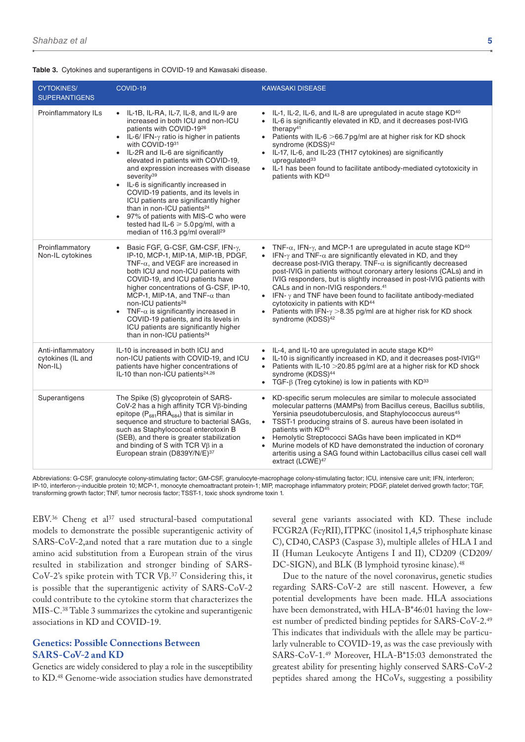|  |  | Table 3. Cytokines and superantigens in COVID-19 and Kawasaki disease. |  |  |  |
|--|--|------------------------------------------------------------------------|--|--|--|
|--|--|------------------------------------------------------------------------|--|--|--|

| <b>CYTOKINES/</b><br><b>SUPERANTIGENS</b>         | COVID-19                                                                                                                                                                                                                                                                                                                                                                                                                                                                                                                                                                                                                                | <b>KAWASAKI DISEASE</b>                                                                                                                                                                                                                                                                                                                                                                                                                                                                                                                                                                                                                                                                          |
|---------------------------------------------------|-----------------------------------------------------------------------------------------------------------------------------------------------------------------------------------------------------------------------------------------------------------------------------------------------------------------------------------------------------------------------------------------------------------------------------------------------------------------------------------------------------------------------------------------------------------------------------------------------------------------------------------------|--------------------------------------------------------------------------------------------------------------------------------------------------------------------------------------------------------------------------------------------------------------------------------------------------------------------------------------------------------------------------------------------------------------------------------------------------------------------------------------------------------------------------------------------------------------------------------------------------------------------------------------------------------------------------------------------------|
| Proinflammatory ILs                               | • IL-1B, IL-RA, IL-7, IL-8, and IL-9 are<br>increased in both ICU and non-ICU<br>patients with COVID-1926<br>• IL-6/IFN- $\gamma$ ratio is higher in patients<br>with COVID-1931<br>• IL-2R and IL-6 are significantly<br>elevated in patients with COVID-19,<br>and expression increases with disease<br>severity <sup>39</sup><br>• IL-6 is significantly increased in<br>COVID-19 patients, and its levels in<br>ICU patients are significantly higher<br>than in non-ICU patients <sup>24</sup><br>• 97% of patients with MIS-C who were<br>tested had IL-6 $\geq$ 5.0 pg/ml, with a<br>median of 116.3 pg/ml overall <sup>29</sup> | • IL-1, IL-2, IL-6, and IL-8 are upregulated in acute stage KD <sup>40</sup><br>IL-6 is significantly elevated in KD, and it decreases post-IVIG<br>therapy <sup>41</sup><br>• Patients with IL-6 $>$ 66.7 pg/ml are at higher risk for KD shock<br>syndrome (KDSS) <sup>42</sup><br>• IL-17, IL-6, and IL-23 (TH17 cytokines) are significantly<br>upregulated $33$<br>• IL-1 has been found to facilitate antibody-mediated cytotoxicity in<br>patients with KD <sup>43</sup>                                                                                                                                                                                                                  |
| Proinflammatory<br>Non-IL cytokines               | Basic FGF, G-CSF, GM-CSF, IFN-y,<br>$\bullet$<br>IP-10, MCP-1, MIP-1A, MIP-1B, PDGF,<br>TNF- $\alpha$ , and VEGF are increased in<br>both ICU and non-ICU patients with<br>COVID-19, and ICU patients have<br>higher concentrations of G-CSF, IP-10,<br>MCP-1, MIP-1A, and TNF- $\alpha$ than<br>non-ICU patients <sup>26</sup><br>TNF- $\alpha$ is significantly increased in<br>$\bullet$<br>COVID-19 patients, and its levels in<br>ICU patients are significantly higher<br>than in non-ICU patients <sup>24</sup>                                                                                                                  | • TNF- $\alpha$ , IFN- $\gamma$ , and MCP-1 are upregulated in acute stage KD <sup>40</sup><br>• IFN- $\gamma$ and TNF- $\alpha$ are significantly elevated in KD, and they<br>decrease post-IVIG therapy. TNF- $\alpha$ is significantly decreased<br>post-IVIG in patients without coronary artery lesions (CALs) and in<br>IVIG responders, but is slightly increased in post-IVIG patients with<br>CALs and in non-IVIG responders. <sup>41</sup><br>• IFN- $\gamma$ and TNF have been found to facilitate antibody-mediated<br>cytotoxicity in patients with KD <sup>44</sup><br>• Patients with IFN- $\gamma$ >8.35 pg/ml are at higher risk for KD shock<br>syndrome (KDSS) <sup>42</sup> |
| Anti-inflammatory<br>cytokines (IL and<br>Non-IL) | IL-10 is increased in both ICU and<br>non-ICU patients with COVID-19, and ICU<br>patients have higher concentrations of<br>IL-10 than non-ICU patients <sup>24,26</sup>                                                                                                                                                                                                                                                                                                                                                                                                                                                                 | • IL-4, and IL-10 are upregulated in acute stage $KD^{40}$<br>• IL-10 is significantly increased in KD, and it decreases post-IVIG <sup>41</sup><br>• Patients with IL-10 $>$ 20.85 pg/ml are at a higher risk for KD shock<br>syndrome (KDSS) <sup>44</sup><br>• TGF- $\beta$ (Treg cytokine) is low in patients with KD <sup>33</sup>                                                                                                                                                                                                                                                                                                                                                          |
| Superantigens                                     | The Spike (S) glycoprotein of SARS-<br>CoV-2 has a high affinity TCR V $\beta$ -binding<br>epitope ( $P_{681}RRA_{684}$ ) that is similar in<br>sequence and structure to bacterial SAGs,<br>such as Staphylococcal enterotoxin B<br>(SEB), and there is greater stabilization<br>and binding of S with TCR $V\beta$ in a<br>European strain (D839Y/N/E)37                                                                                                                                                                                                                                                                              | • KD-specific serum molecules are similar to molecule associated<br>molecular patterns (MAMPs) from Bacillus cereus, Bacillus subtilis,<br>Yersinia pseudotuberculosis, and Staphylococcus aureus <sup>45</sup><br>• TSST-1 producing strains of S. aureus have been isolated in<br>patients with KD <sup>45</sup><br>Hemolytic Streptococci SAGs have been implicated in KD <sup>46</sup><br>Murine models of KD have demonstrated the induction of coronary<br>$\bullet$<br>arteritis using a SAG found within Lactobacillus cillus casei cell wall<br>extract (LCWE) <sup>47</sup>                                                                                                            |

Abbreviations: G-CSF, granulocyte colony-stimulating factor; GM-CSF, granulocyte-macrophage colony-stimulating factor; ICU, intensive care unit; IFN, interferon; IP-10, interferon-γ-inducible protein 10; MCP-1, monocyte chemoattractant protein-1; MIP, macrophage inflammatory protein; PDGF, platelet derived growth factor; TGF, transforming growth factor; TNF, tumor necrosis factor; TSST-1, toxic shock syndrome toxin 1.

EBV.<sup>36</sup> Cheng et al<sup>37</sup> used structural-based computational models to demonstrate the possible superantigenic activity of SARS-CoV-2,and noted that a rare mutation due to a single amino acid substitution from a European strain of the virus resulted in stabilization and stronger binding of SARS-CoV-2's spike protein with TCR Vβ. 37 Considering this, it is possible that the superantigenic activity of SARS-CoV-2 could contribute to the cytokine storm that characterizes the MIS-C.38 Table 3 summarizes the cytokine and superantigenic associations in KD and COVID-19.

## **Genetics: Possible Connections Between SARS-CoV-2 and KD**

Genetics are widely considered to play a role in the susceptibility to KD.48 Genome-wide association studies have demonstrated

several gene variants associated with KD. These include FCGR2A (FcγRII), ITPKC (inositol 1,4,5 triphosphate kinase C), CD40, CASP3 (Caspase 3), multiple alleles of HLA I and II (Human Leukocyte Antigens I and II), CD209 (CD209/ DC-SIGN), and BLK (B lymphoid tyrosine kinase).<sup>48</sup>

Due to the nature of the novel coronavirus, genetic studies regarding SARS-CoV-2 are still nascent. However, a few potential developments have been made. HLA associations have been demonstrated, with HLA-B\*46:01 having the lowest number of predicted binding peptides for SARS-CoV-2.49 This indicates that individuals with the allele may be particularly vulnerable to COVID-19, as was the case previously with SARS-CoV-1.49 Moreover, HLA-B\*15:03 demonstrated the greatest ability for presenting highly conserved SARS-CoV-2 peptides shared among the HCoVs, suggesting a possibility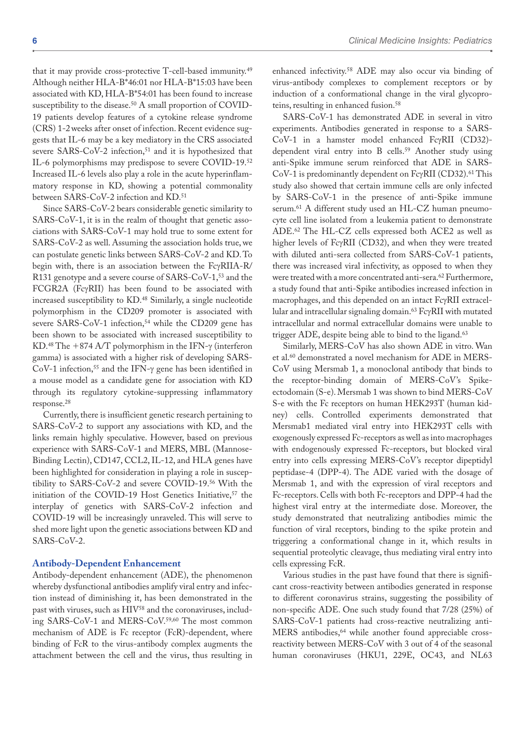that it may provide cross-protective T-cell-based immunity.49 Although neither HLA-B\*46:01 nor HLA-B\*15:03 have been associated with KD, HLA-B\*54:01 has been found to increase susceptibility to the disease.<sup>50</sup> A small proportion of COVID-19 patients develop features of a cytokine release syndrome (CRS) 1-2weeks after onset of infection. Recent evidence suggests that IL-6 may be a key mediatory in the CRS associated severe SARS-CoV-2 infection,<sup>51</sup> and it is hypothesized that IL-6 polymorphisms may predispose to severe COVID-19.52 Increased IL-6 levels also play a role in the acute hyperinflammatory response in KD, showing a potential commonality between SARS-CoV-2 infection and KD.51

Since SARS-CoV-2 bears considerable genetic similarity to SARS-CoV-1, it is in the realm of thought that genetic associations with SARS-CoV-1 may hold true to some extent for SARS-CoV-2 as well. Assuming the association holds true, we can postulate genetic links between SARS-CoV-2 and KD. To begin with, there is an association between the FcγRIIA-R/ R131 genotype and a severe course of SARS-CoV-1,53 and the FCGR2A (FcγRII) has been found to be associated with increased susceptibility to KD.48 Similarly, a single nucleotide polymorphism in the CD209 promoter is associated with severe SARS-CoV-1 infection,<sup>54</sup> while the CD209 gene has been shown to be associated with increased susceptibility to KD.48 The +874 A/T polymorphism in the IFN-γ (interferon gamma) is associated with a higher risk of developing SARS-CoV-1 infection,55 and the IFN-γ gene has been identified in a mouse model as a candidate gene for association with KD through its regulatory cytokine-suppressing inflammatory response.28

Currently, there is insufficient genetic research pertaining to SARS-CoV-2 to support any associations with KD, and the links remain highly speculative. However, based on previous experience with SARS-CoV-1 and MERS, MBL (Mannose-Binding Lectin), CD147, CCL2, IL-12, and HLA genes have been highlighted for consideration in playing a role in susceptibility to SARS-CoV-2 and severe COVID-19.56 With the initiation of the COVID-19 Host Genetics Initiative,<sup>57</sup> the interplay of genetics with SARS-CoV-2 infection and COVID-19 will be increasingly unraveled. This will serve to shed more light upon the genetic associations between KD and SARS-CoV-2.

#### **Antibody-Dependent Enhancement**

Antibody-dependent enhancement (ADE), the phenomenon whereby dysfunctional antibodies amplify viral entry and infection instead of diminishing it, has been demonstrated in the past with viruses, such as HIV<sup>58</sup> and the coronaviruses, including SARS-CoV-1 and MERS-CoV.59,60 The most common mechanism of ADE is Fc receptor (FcR)-dependent, where binding of FcR to the virus-antibody complex augments the attachment between the cell and the virus, thus resulting in enhanced infectivity.58 ADE may also occur via binding of virus-antibody complexes to complement receptors or by induction of a conformational change in the viral glycoproteins, resulting in enhanced fusion.<sup>58</sup>

SARS-CoV-1 has demonstrated ADE in several in vitro experiments. Antibodies generated in response to a SARS-CoV-1 in a hamster model enhanced FcγRII (CD32) dependent viral entry into B cells.59 Another study using anti-Spike immune serum reinforced that ADE in SARS-CoV-1 is predominantly dependent on FcγRII (CD32).61 This study also showed that certain immune cells are only infected by SARS-CoV-1 in the presence of anti-Spike immune serum.61 A different study used an HL-CZ human pneumocyte cell line isolated from a leukemia patient to demonstrate ADE.62 The HL-CZ cells expressed both ACE2 as well as higher levels of FcγRII (CD32), and when they were treated with diluted anti-sera collected from SARS-CoV-1 patients, there was increased viral infectivity, as opposed to when they were treated with a more concentrated anti-sera.62 Furthermore, a study found that anti-Spike antibodies increased infection in macrophages, and this depended on an intact FcγRII extracellular and intracellular signaling domain.63 FcγRII with mutated intracellular and normal extracellular domains were unable to trigger ADE, despite being able to bind to the ligand.<sup>63</sup>

Similarly, MERS-CoV has also shown ADE in vitro. Wan et al.60 demonstrated a novel mechanism for ADE in MERS-CoV using Mersmab 1, a monoclonal antibody that binds to the receptor-binding domain of MERS-CoV's Spikeectodomain (S-e). Mersmab 1 was shown to bind MERS-CoV S-e with the Fc receptors on human HEK293T (human kidney) cells. Controlled experiments demonstrated that Mersmab1 mediated viral entry into HEK293T cells with exogenously expressed Fc-receptors as well as into macrophages with endogenously expressed Fc-receptors, but blocked viral entry into cells expressing MERS-CoV's receptor dipeptidyl peptidase-4 (DPP-4). The ADE varied with the dosage of Mersmab 1, and with the expression of viral receptors and Fc-receptors. Cells with both Fc-receptors and DPP-4 had the highest viral entry at the intermediate dose. Moreover, the study demonstrated that neutralizing antibodies mimic the function of viral receptors, binding to the spike protein and triggering a conformational change in it, which results in sequential proteolytic cleavage, thus mediating viral entry into cells expressing FcR.

Various studies in the past have found that there is significant cross-reactivity between antibodies generated in response to different coronavirus strains, suggesting the possibility of non-specific ADE. One such study found that 7/28 (25%) of SARS-CoV-1 patients had cross-reactive neutralizing anti-MERS antibodies,64 while another found appreciable crossreactivity between MERS-CoV with 3 out of 4 of the seasonal human coronaviruses (HKU1, 229E, OC43, and NL63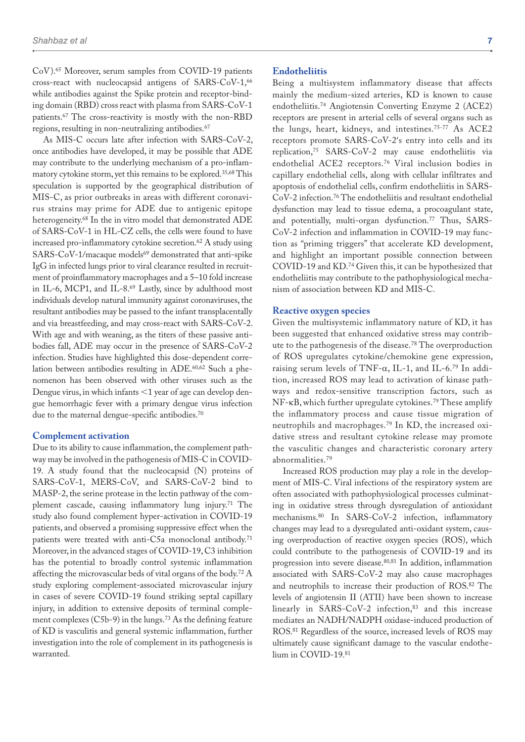CoV).65 Moreover, serum samples from COVID-19 patients cross-react with nucleocapsid antigens of SARS-CoV-1,66 while antibodies against the Spike protein and receptor-binding domain (RBD) cross react with plasma from SARS-CoV-1 patients.67 The cross-reactivity is mostly with the non-RBD regions, resulting in non-neutralizing antibodies.<sup>67</sup>

As MIS-C occurs late after infection with SARS-CoV-2, once antibodies have developed, it may be possible that ADE may contribute to the underlying mechanism of a pro-inflammatory cytokine storm, yet this remains to be explored.35,68 This speculation is supported by the geographical distribution of MIS-C, as prior outbreaks in areas with different coronavirus strains may prime for ADE due to antigenic epitope heterogeneity.68 In the in vitro model that demonstrated ADE of SARS-CoV-1 in HL-CZ cells, the cells were found to have increased pro-inflammatory cytokine secretion.62 A study using SARS-CoV-1/macaque models<sup>69</sup> demonstrated that anti-spike IgG in infected lungs prior to viral clearance resulted in recruitment of proinflammatory macrophages and a 5–10 fold increase in IL-6, MCP1, and IL-8.<sup>69</sup> Lastly, since by adulthood most individuals develop natural immunity against coronaviruses, the resultant antibodies may be passed to the infant transplacentally and via breastfeeding, and may cross-react with SARS-CoV-2. With age and with weaning, as the titers of these passive antibodies fall, ADE may occur in the presence of SARS-CoV-2 infection. Studies have highlighted this dose-dependent correlation between antibodies resulting in ADE.<sup>60,62</sup> Such a phenomenon has been observed with other viruses such as the Dengue virus, in which infants <1 year of age can develop dengue hemorrhagic fever with a primary dengue virus infection due to the maternal dengue-specific antibodies.70

#### **Complement activation**

Due to its ability to cause inflammation, the complement pathway may be involved in the pathogenesis of MIS-C in COVID-19. A study found that the nucleocapsid (N) proteins of SARS-CoV-1, MERS-CoV, and SARS-CoV-2 bind to MASP-2, the serine protease in the lectin pathway of the complement cascade, causing inflammatory lung injury.71 The study also found complement hyper-activation in COVID-19 patients, and observed a promising suppressive effect when the patients were treated with anti-C5a monoclonal antibody.<sup>71</sup> Moreover, in the advanced stages of COVID-19, C3 inhibition has the potential to broadly control systemic inflammation affecting the microvascular beds of vital organs of the body.72 A study exploring complement-associated microvascular injury in cases of severe COVID-19 found striking septal capillary injury, in addition to extensive deposits of terminal complement complexes (C5b-9) in the lungs.<sup>73</sup> As the defining feature of KD is vasculitis and general systemic inflammation, further investigation into the role of complement in its pathogenesis is warranted.

#### **Endotheliitis**

Being a multisystem inflammatory disease that affects mainly the medium-sized arteries, KD is known to cause endotheliitis.74 Angiotensin Converting Enzyme 2 (ACE2) receptors are present in arterial cells of several organs such as the lungs, heart, kidneys, and intestines.75-77 As ACE2 receptors promote SARS-CoV-2′s entry into cells and its replication,75 SARS-CoV-2 may cause endotheliitis via endothelial ACE2 receptors.76 Viral inclusion bodies in capillary endothelial cells, along with cellular infiltrates and apoptosis of endothelial cells, confirm endotheliitis in SARS-CoV-2 infection.76 The endotheliitis and resultant endothelial dysfunction may lead to tissue edema, a procoagulant state, and potentially, multi-organ dysfunction.<sup>77</sup> Thus, SARS-CoV-2 infection and inflammation in COVID-19 may function as "priming triggers" that accelerate KD development, and highlight an important possible connection between COVID-19 and KD.74 Given this, it can be hypothesized that endotheliitis may contribute to the pathophysiological mechanism of association between KD and MIS-C.

#### **Reactive oxygen species**

Given the multisystemic inflammatory nature of KD, it has been suggested that enhanced oxidative stress may contribute to the pathogenesis of the disease.78 The overproduction of ROS upregulates cytokine/chemokine gene expression, raising serum levels of TNF- $\alpha$ , IL-1, and IL-6.<sup>79</sup> In addition, increased ROS may lead to activation of kinase pathways and redox-sensitive transcription factors, such as NF-κB, which further upregulate cytokines.79 These amplify the inflammatory process and cause tissue migration of neutrophils and macrophages.79 In KD, the increased oxidative stress and resultant cytokine release may promote the vasculitic changes and characteristic coronary artery abnormalities.79

Increased ROS production may play a role in the development of MIS-C. Viral infections of the respiratory system are often associated with pathophysiological processes culminating in oxidative stress through dysregulation of antioxidant mechanisms.80 In SARS-CoV-2 infection, inflammatory changes may lead to a dysregulated anti-oxidant system, causing overproduction of reactive oxygen species (ROS), which could contribute to the pathogenesis of COVID-19 and its progression into severe disease.<sup>80,81</sup> In addition, inflammation associated with SARS-CoV-2 may also cause macrophages and neutrophils to increase their production of ROS.82 The levels of angiotensin II (ATII) have been shown to increase linearly in SARS-CoV-2 infection,<sup>83</sup> and this increase mediates an NADH/NADPH oxidase-induced production of ROS.81 Regardless of the source, increased levels of ROS may ultimately cause significant damage to the vascular endothelium in COVID-19.81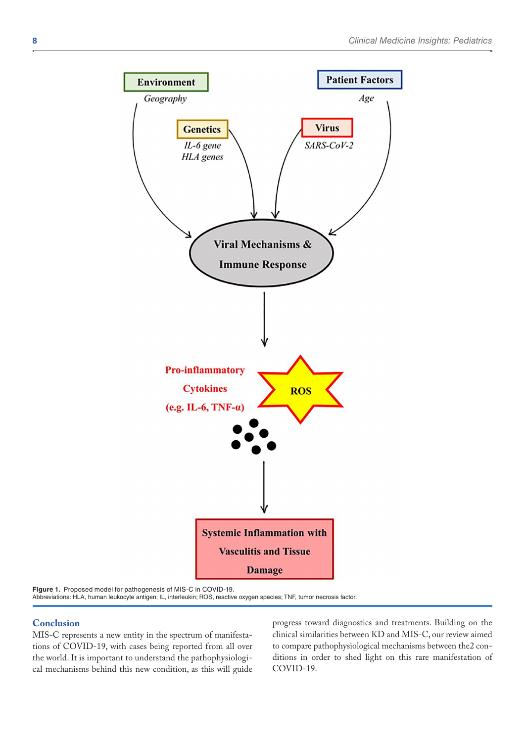

**Figure 1.** Proposed model for pathogenesis of MIS-C in COVID-19. Abbreviations: HLA, human leukocyte antigen; IL, interleukin; ROS, reactive oxygen species; TNF, tumor necrosis factor.

#### **Conclusion**

MIS-C represents a new entity in the spectrum of manifestations of COVID-19, with cases being reported from all over the world. It is important to understand the pathophysiological mechanisms behind this new condition, as this will guide progress toward diagnostics and treatments. Building on the clinical similarities between KD and MIS-C, our review aimed to compare pathophysiological mechanisms between the2 conditions in order to shed light on this rare manifestation of COVID-19.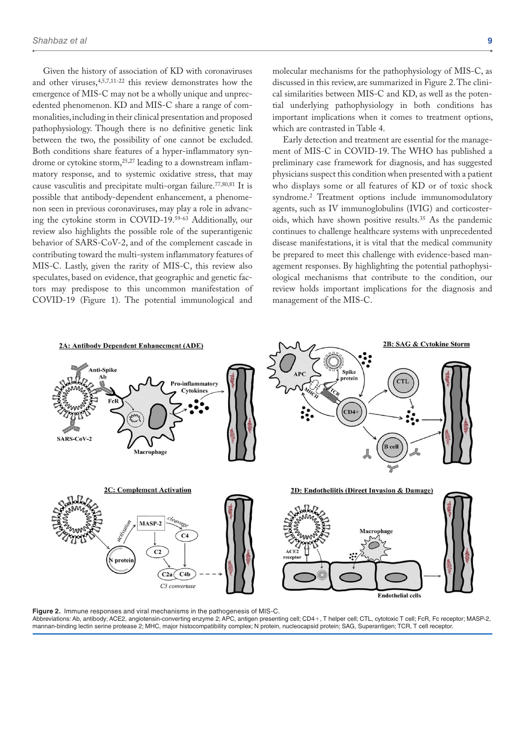Given the history of association of KD with coronaviruses and other viruses,4,5,7,11-22 this review demonstrates how the emergence of MIS-C may not be a wholly unique and unprecedented phenomenon. KD and MIS-C share a range of commonalities, including in their clinical presentation and proposed pathophysiology. Though there is no definitive genetic link between the two, the possibility of one cannot be excluded. Both conditions share features of a hyper-inflammatory syndrome or cytokine storm,25,27 leading to a downstream inflammatory response, and to systemic oxidative stress, that may cause vasculitis and precipitate multi-organ failure.77,80,81 It is possible that antibody-dependent enhancement, a phenomenon seen in previous coronaviruses, may play a role in advancing the cytokine storm in COVID-19.59-63 Additionally, our review also highlights the possible role of the superantigenic behavior of SARS-CoV-2, and of the complement cascade in contributing toward the multi-system inflammatory features of MIS-C. Lastly, given the rarity of MIS-C, this review also speculates, based on evidence, that geographic and genetic factors may predispose to this uncommon manifestation of COVID-19 (Figure 1). The potential immunological and

molecular mechanisms for the pathophysiology of MIS-C, as discussed in this review, are summarized in Figure 2. The clinical similarities between MIS-C and KD, as well as the potential underlying pathophysiology in both conditions has important implications when it comes to treatment options, which are contrasted in Table 4.

Early detection and treatment are essential for the management of MIS-C in COVID-19. The WHO has published a preliminary case framework for diagnosis, and has suggested physicians suspect this condition when presented with a patient who displays some or all features of KD or of toxic shock syndrome.2 Treatment options include immunomodulatory agents, such as IV immunoglobulins (IVIG) and corticosteroids, which have shown positive results.35 As the pandemic continues to challenge healthcare systems with unprecedented disease manifestations, it is vital that the medical community be prepared to meet this challenge with evidence-based management responses. By highlighting the potential pathophysiological mechanisms that contribute to the condition, our review holds important implications for the diagnosis and management of the MIS-C.



**Figure 2.** Immune responses and viral mechanisms in the pathogenesis of MIS-C. Abbreviations: Ab, antibody; ACE2, angiotensin-converting enzyme 2; APC, antigen presenting cell; CD4+, T helper cell; CTL, cytotoxic T cell; FcR, Fc receptor; MASP-2, mannan-binding lectin serine protease 2; MHC, major histocompatibility complex; N protein, nucleocapsid protein; SAG, Superantigen; TCR, T cell receptor.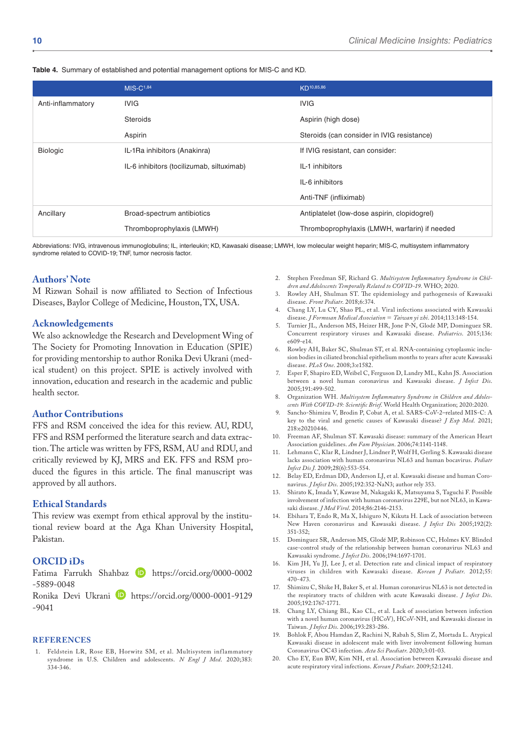|  |  |  |  |  | Table 4. Summary of established and potential management options for MIS-C and KD. |  |
|--|--|--|--|--|------------------------------------------------------------------------------------|--|
|--|--|--|--|--|------------------------------------------------------------------------------------|--|

|                   | $MIS-C1,84$                               | KD <sup>10,85,86</sup>                        |
|-------------------|-------------------------------------------|-----------------------------------------------|
| Anti-inflammatory | <b>IVIG</b>                               | <b>IVIG</b>                                   |
|                   | <b>Steroids</b>                           | Aspirin (high dose)                           |
|                   | Aspirin                                   | Steroids (can consider in IVIG resistance)    |
| <b>Biologic</b>   | IL-1Ra inhibitors (Anakinra)              | If IVIG resistant, can consider:              |
|                   | IL-6 inhibitors (tocilizumab, siltuximab) | IL-1 inhibitors                               |
|                   |                                           | IL-6 inhibitors                               |
|                   |                                           | Anti-TNF (infliximab)                         |
| Ancillary         | Broad-spectrum antibiotics                | Antiplatelet (low-dose aspirin, clopidogrel)  |
|                   | Thromboprophylaxis (LMWH)                 | Thromboprophylaxis (LMWH, warfarin) if needed |

Abbreviations: IVIG, intravenous immunoglobulins; IL, interleukin; KD, Kawasaki disease; LMWH, low molecular weight heparin; MIS-C, multisystem inflammatory syndrome related to COVID-19; TNF, tumor necrosis factor.

## **Authors' Note**

M Rizwan Sohail is now affiliated to Section of Infectious Diseases, Baylor College of Medicine, Houston, TX, USA.

#### **Acknowledgements**

We also acknowledge the Research and Development Wing of The Society for Promoting Innovation in Education (SPIE) for providing mentorship to author Ronika Devi Ukrani (medical student) on this project. SPIE is actively involved with innovation, education and research in the academic and public health sector.

#### **Author Contributions**

FFS and RSM conceived the idea for this review. AU, RDU, FFS and RSM performed the literature search and data extraction. The article was written by FFS, RSM, AU and RDU, and critically reviewed by KJ, MRS and EK. FFS and RSM produced the figures in this article. The final manuscript was approved by all authors.

#### **Ethical Standards**

This review was exempt from ethical approval by the institutional review board at the Aga Khan University Hospital, Pakistan.

#### **ORCID iDs**

Fatima Farrukh Shahbaz **(D** [https://orcid.org/0000-0002](https://orcid.org/0000-0002-5889-0048) [-5889-0048](https://orcid.org/0000-0002-5889-0048)

Ronika Devi Ukrani D [https://orcid.org/0000-0001-9129](https://orcid.org/0000-0001-9129-9041) [-9041](https://orcid.org/0000-0001-9129-9041)

#### **References**

1. Feldstein LR, Rose EB, Horwitz SM, et al. Multisystem inf lammatory syndrome in U.S. Children and adolescents. *N Engl J Med*. 2020;383: 334-346.

- 2. Stephen Freedman SF, Richard G. *Multisystem Inflammatory Syndrome in Children and Adolescents Temporally Related to COVID-19*. WHO; 2020.
- 3. Rowley AH, Shulman ST. The epidemiology and pathogenesis of Kawasaki disease. *Front Pediatr*. 2018;6:374.
- 4. Chang LY, Lu CY, Shao PL, et al. Viral infections associated with Kawasaki disease. *J Formosan Medical Association* = *Taiwan yi zhi*. 2014;113:148-154.
- 5. Turnier JL, Anderson MS, Heizer HR, Jone P-N, Glodé MP, Dominguez SR. Concurrent respiratory viruses and Kawasaki disease. *Pediatrics*. 2015;136: e609-e14.
- 6. Rowley AH, Baker SC, Shulman ST, et al. RNA-containing cytoplasmic inclusion bodies in ciliated bronchial epithelium months to years after acute Kawasaki disease. *PLoS One*. 2008;3:e1582.
- 7. Esper F, Shapiro ED, Weibel C, Ferguson D, Landry ML, Kahn JS. Association between a novel human coronavirus and Kawasaki disease. *J Infect Dis*. 2005;191:499-502.
- 8. Organization WH. *Multisystem Inflammatory Syndrome in Children and Adolescents With COVID-19: Scientific Brief*. World Health Organization; 2020:2020.
- Sancho-Shimizu V, Brodin P, Cobat A, et al. SARS-CoV-2-related MIS-C: A key to the viral and genetic causes of Kawasaki disease? *J Exp Med*. 2021; 218:e20210446.
- 10. Freeman AF, Shulman ST. Kawasaki disease: summary of the American Heart Association guidelines. *Am Fam Physician*. 2006;74:1141-1148.
- 11. Lehmann C, Klar R, Lindner J, Lindner P, Wolf H, Gerling S. Kawasaki disease lacks association with human coronavirus NL63 and human bocavirus. *Pediatr Infect Dis J*. 2009;28(6):553-554.
- 12. Belay ED, Erdman DD, Anderson LJ, et al. Kawasaki disease and human Coronavirus. *J Infect Dis*. 2005;192:352-NaN3; author rely 353.
- 13. Shirato K, Imada Y, Kawase M, Nakagaki K, Matsuyama S, Taguchi F. Possible involvement of infection with human coronavirus 229E, but not NL63, in Kawasaki disease. *J Med Virol*. 2014;86:2146-2153.
- 14. Ebihara T, Endo R, Ma X, Ishiguro N, Kikuta H. Lack of association between New Haven coronavirus and Kawasaki disease. *J Infect Dis* 2005;192(2): 351-352;
- 15. Dominguez SR, Anderson MS, Glodé MP, Robinson CC, Holmes KV. Blinded case-control study of the relationship between human coronavirus NL63 and Kawasaki syndrome. *J Infect Dis*. 2006;194:1697-1701.
- 16. Kim JH, Yu JJ, Lee J, et al. Detection rate and clinical impact of respiratory viruses in children with Kawasaki disease. *Korean J Pediatr*. 2012;55: 470-473.
- 17. Shimizu C, Shike H, Baker S, et al. Human coronavirus NL63 is not detected in the respiratory tracts of children with acute Kawasaki disease. *J Infect Dis*. 2005;192:1767-1771.
- 18. Chang LY, Chiang BL, Kao CL, et al. Lack of association between infection with a novel human coronavirus (HCoV), HCoV-NH, and Kawasaki disease in Taiwan. *J Infect Dis*. 2006;193:283-286.
- 19. Bohlok F, Abou Hamdan Z, Rachini N, Rabah S, Slim Z, Mortada L. Atypical Kawasaki disease in adolescent male with liver involvement following human Coronavirus OC43 infection. *Acta Sci Paediatr*. 2020;3:01-03.
- 20. Cho EY, Eun BW, Kim NH, et al. Association between Kawasaki disease and acute respiratory viral infections. *Korean J Pediatr*. 2009;52:1241.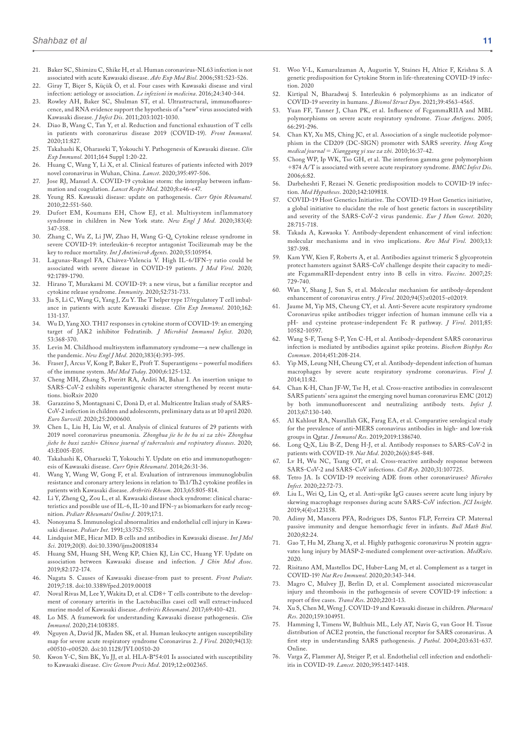- 21. Baker SC, Shimizu C, Shike H, et al. Human coronavirus-NL63 infection is not associated with acute Kawasaki disease. *Adv Exp Med Biol*. 2006;581:523-526.
- 22. Giray T, Biçer S, Küçük Ö, et al. Four cases with Kawasaki disease and viral infection: aetiology or association. *Le infezioni in medicina*. 2016;24:340-344.
- 23. Rowley AH, Baker SC, Shulman ST, et al. Ultrastructural, immunofluorescence, and RNA evidence support the hypothesis of a "new" virus associated with Kawasaki disease. *J Infect Dis*. 2011;203:1021-1030.
- 24. Diao B, Wang C, Tan Y, et al. Reduction and functional exhaustion of T cells in patients with coronavirus disease 2019 (COVID-19). *Front Immunol*. 2020;11:827.
- 25. Takahashi K, Oharaseki T, Yokouchi Y. Pathogenesis of Kawasaki disease. *Clin Exp Immunol*. 2011;164 Suppl 1:20-22.
- 26. Huang C, Wang Y, Li X, et al. Clinical features of patients infected with 2019 novel coronavirus in Wuhan, China. *Lancet*. 2020;395:497-506.
- 27. Jose RJ, Manuel A. COVID-19 cytokine storm: the interplay between inflammation and coagulation. *Lancet Respir Med*. 2020;8:e46-e47.
- 28. Yeung RS. Kawasaki disease: update on pathogenesis. *Curr Opin Rheumatol*. 2010;22:551-560.
- 29. Dufort EM, Koumans EH, Chow EJ, et al. Multisystem inflammatory syndrome in children in New York state. *New Engl J Med*. 2020;383(4): 347-358.
- 30. Zhang C, Wu Z, Li JW, Zhao H, Wang G-Q. Cytokine release syndrome in severe COVID-19: interleukin-6 receptor antagonist Tocilizumab may be the key to reduce mortality. *Int J Antimicrob Agents*. 2020;55:105954.
- 31. Lagunas-Rangel FA, Chávez-Valencia V. High IL-6/IFN-γ ratio could be associated with severe disease in COVID-19 patients. *J Med Virol*. 2020; 92:1789-1790.
- 32. Hirano T, Murakami M. COVID-19: a new virus, but a familiar receptor and cytokine release syndrome. *Immunity*. 2020;52:731-733.
- 33. Jia S, Li C, Wang G, Yang J, Zu Y. The T helper type 17/regulatory T cell imbalance in patients with acute Kawasaki disease. *Clin Exp Immunol*. 2010;162: 131-137.
- 34. Wu D, Yang XO. TH17 responses in cytokine storm of COVID-19: an emerging target of JAK2 inhibitor Fedratinib. *J Microbiol Immunol Infect*. 2020; 53:368-370.
- 35. Levin M. Childhood multisystem inflammatory syndrome—a new challenge in the pandemic. *New Engl J Med*. 2020;383(4):393-395.
- 36. Fraser J, Arcus V, Kong P, Baker E, Proft T. Superantigens powerful modifiers of the immune system. *Mol Med Today*. 2000;6:125-132.
- 37. Cheng MH, Zhang S, Porritt RA, Arditi M, Bahar I. An insertion unique to SARS-CoV-2 exhibits superantigenic character strengthened by recent mutations. bioRxiv 2020
- 38. Garazzino S, Montagnani C, Donà D, et al. Multicentre Italian study of SARS-CoV-2 infection in children and adolescents, preliminary data as at 10 april 2020. *Euro Surveill*. 2020;25:2000600.
- 39. Chen L, Liu H, Liu W, et al. Analysis of clinical features of 29 patients with 2019 novel coronavirus pneumonia. *Zhonghua jie he he hu xi za zhi= Zhonghua jiehe he huxi zazhi= Chinese journal of tuberculosis and respiratory diseases*. 2020; 43:E005-E05.
- 40. Takahashi K, Oharaseki T, Yokouchi Y. Update on etio and immunopathogenesis of Kawasaki disease. *Curr Opin Rheumatol*. 2014;26:31-36.
- 41. Wang Y, Wang W, Gong F, et al. Evaluation of intravenous immunoglobulin resistance and coronary artery lesions in relation to Th1/Th2 cytokine profiles in patients with Kawasaki disease. *Arthritis Rheum*. 2013;65:805-814.
- 42. Li Y, Zheng Q, Zou L, et al. Kawasaki disease shock syndrome: clinical characteristics and possible use of IL-6, IL-10 and IFN-γ as biomarkers for early recognition. *Pediatr Rheumatol Online J*. 2019;17:1.
- 43. Nonoyama S. Immunological abnormalities and endothelial cell injury in Kawasaki disease. *Pediatr Int*. 1991;33:752-755.
- 44. Lindquist ME, Hicar MD. B cells and antibodies in Kawasaki disease. *Int J Mol Sci*. 2019;20(8). doi:10.3390/ijms20081834
- 45. Huang SM, Huang SH, Weng KP, Chien KJ, Lin CC, Huang YF. Update on association between Kawasaki disease and infection. *J Chin Med Assoc*. 2019;82:172-174.
- 46. Nagata S. Causes of Kawasaki disease-from past to present. *Front Pediatr*. 2019;7:18. doi:10.3389/fped.2019.00018
- 47. Noval Rivas M, Lee Y, Wakita D, et al. CD8+ T cells contribute to the development of coronary arteritis in the Lactobacillus casei cell wall extract-induced murine model of Kawasaki disease. *Arthritis Rheumatol*. 2017;69:410-421.
- 48. Lo MS. A framework for understanding Kawasaki disease pathogenesis. *Clin Immunol*. 2020;214:108385.
- 49. Nguyen A, David JK, Maden SK, et al. Human leukocyte antigen susceptibility map for severe acute respiratory syndrome Coronavirus 2. *J Virol*. 2020;94(13): e00510-e00520. doi:10.1128/JVI.00510-20
- Kwon Y-C, Sim BK, Yu JJ, et al. HLA-B\*54:01 Is associated with susceptibility to Kawasaki disease. *Circ Genom Precis Med*. 2019;12:e002365.
- 51. Woo Y-L, Kamarulzaman A, Augustin Y, Staines H, Altice F, Krishna S. A genetic predisposition for Cytokine Storm in life-threatening COVID-19 infection. 2020
- 52. Kirtipal N, Bharadwaj S. Interleukin 6 polymorphisms as an indicator of COVID-19 severity in humans. *J Biomol Struct Dyn*. 2021;39:4563-4565.
- 53. Yuan FF, Tanner J, Chan PK, et al. Influence of FcgammaRIIA and MBL polymorphisms on severe acute respiratory syndrome. *Tissue Antigens*. 2005; 66:291-296.
- 54. Chan KY, Xu MS, Ching JC, et al. Association of a single nucleotide polymorphism in the CD209 (DC-SIGN) promoter with SARS severity. *Hong Kong medical journal* = *Xianggang yi xue za zhi*. 2010;16:37-42.
- 55. Chong WP, Ip WK, Tso GH, et al. The interferon gamma gene polymorphism +874 A/T is associated with severe acute respiratory syndrome. *BMC Infect Dis*. 2006;6:82.
- 56. Darbeheshti F, Rezaei N. Genetic predisposition models to COVID-19 infection. *Med Hypotheses*. 2020;142:109818.
- 57. COVID-19 Host Genetics Initiative. The COVID-19 Host Genetics initiative, a global initiative to elucidate the role of host genetic factors in susceptibility and severity of the SARS-CoV-2 virus pandemic. *Eur J Hum Genet*. 2020; 28:715-718.
- 58. Takada A, Kawaoka Y. Antibody-dependent enhancement of viral infection: molecular mechanisms and in vivo implications. *Rev Med Virol*. 2003;13: 387-398.
- 59. Kam YW, Kien F, Roberts A, et al. Antibodies against trimeric S glycoprotein protect hamsters against SARS-CoV challenge despite their capacity to mediate FcgammaRII-dependent entry into B cells in vitro. *Vaccine*. 2007;25: 729-740.
- 60. Wan Y, Shang J, Sun S, et al. Molecular mechanism for antibody-dependent enhancement of coronavirus entry. *J Virol*. 2020;94(5):e02015-e02019.
- 61. Jaume M, Yip MS, Cheung CY, et al. Anti-Severe acute respiratory syndrome Coronavirus spike antibodies trigger infection of human immune cells via a pH- and cysteine protease-independent Fc R pathway. *J Virol*. 2011;85: 10582-10597.
- 62. Wang S-F, Tseng S-P, Yen C-H, et al. Antibody-dependent SARS coronavirus infection is mediated by antibodies against spike proteins. *Biochem Biophys Res Commun*. 2014;451:208-214.
- 63. Yip MS, Leung NH, Cheung CY, et al. Antibody-dependent infection of human macrophages by severe acute respiratory syndrome coronavirus. *Virol J*. 2014;11:82.
- 64. Chan K-H, Chan JF-W, Tse H, et al. Cross-reactive antibodies in convalescent SARS patients' sera against the emerging novel human coronavirus EMC (2012) by both immunofluorescent and neutralizing antibody tests. *Infect J*. 2013;67:130-140.
- 65. Al Kahlout RA, Nasrallah GK, Farag EA, et al. Comparative serological study for the prevalence of anti-MERS coronavirus antibodies in high- and low-risk groups in Qatar. *J Immunol Res*. 2019;2019:1386740.
- 66. Long Q-X, Liu B-Z, Deng H-J, et al. Antibody responses to SARS-CoV-2 in patients with COVID-19. *Nat Med*. 2020;26(6):845-848.
- 67. Lv H, Wu NC, Tsang OT, et al. Cross-reactive antibody response between SARS-CoV-2 and SARS-CoV infections. *Cell Rep*. 2020;31:107725.
- 68. Tetro JA. Is COVID-19 receiving ADE from other coronaviruses? *Microbes Infect*. 2020;22:72-73.
- Liu L, Wei Q, Lin Q, et al. Anti-spike IgG causes severe acute lung injury by skewing macrophage responses during acute SARS-CoV infection. *JCI Insight*. 2019;4(4):e123158.
- Adimy M, Mancera PFA, Rodrigues DS, Santos FLP, Ferreira CP. Maternal passive immunity and dengue hemorrhagic fever in infants. *Bull Math Biol*. 2020;82:24.
- 71. Gao T, Hu M, Zhang X, et al. Highly pathogenic coronavirus N protein aggravates lung injury by MASP-2-mediated complement over-activation. *MedRxiv*. 2020.
- 72. Risitano AM, Mastellos DC, Huber-Lang M, et al. Complement as a target in COVID-19? *Nat Rev Immunol*. 2020;20:343-344.
- 73. Magro C, Mulvey JJ, Berlin D, et al. Complement associated microvascular injury and thrombosis in the pathogenesis of severe COVID-19 infection: a report of five cases. *Transl Res*. 2020;220:1-13.
- 74. Xu S, Chen M, Weng J. COVID-19 and Kawasaki disease in children. *Pharmacol Res*. 2020;159:104951.
- 75. Hamming I, Timens W, Bulthuis ML, Lely AT, Navis G, van Goor H. Tissue distribution of ACE2 protein, the functional receptor for SARS coronavirus. A first step in understanding SARS pathogenesis. *J Pathol*. 2004;203:631-637. Online.
- Varga Z, Flammer AJ, Steiger P, et al. Endothelial cell infection and endotheliitis in COVID-19. *Lancet*. 2020;395:1417-1418.